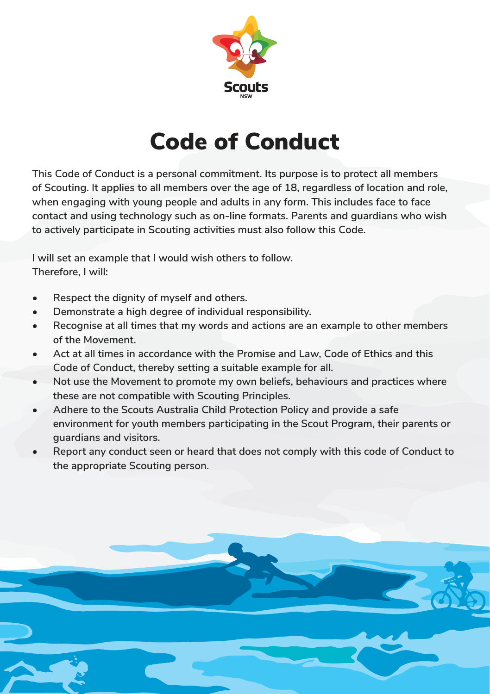

# Code of Conduct

**This Code of Conduct is a personal commitment. Its purpose is to protect all members of Scouting. It applies to all members over the age of 18, regardless of location and role, when engaging with young people and adults in any form. This includes face to face contact and using technology such as on-line formats. Parents and guardians who wish to actively participate in Scouting activities must also follow this Code.**

**I will set an example that I would wish others to follow. Therefore, I will:**

- Respect the dignity of myself and others.
- Demonstrate a high degree of individual responsibility.
- Recognise at all times that my words and actions are an example to other members **of the Movement.**
- Act at all times in accordance with the Promise and Law, Code of Ethics and this **Code of Conduct, thereby setting a suitable example for all.**
- Not use the Movement to promote my own beliefs, behaviours and practices where **these are not compatible with Scouting Principles.**
- Adhere to the Scouts Australia Child Protection Policy and provide a safe **environment for youth members participating in the Scout Program, their parents or guardians and visitors.**
- Report any conduct seen or heard that does not comply with this code of Conduct to **the appropriate Scouting person.**